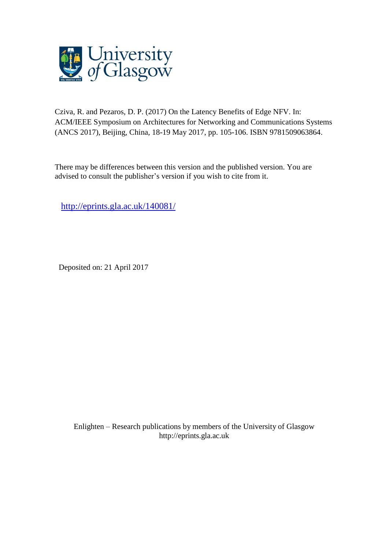

Cziva, R. and Pezaros, D. P. (2017) On the Latency Benefits of Edge NFV. In: ACM/IEEE Symposium on Architectures for Networking and Communications Systems (ANCS 2017), Beijing, China, 18-19 May 2017, pp. 105-106. ISBN 9781509063864.

There may be differences between this version and the published version. You are advised to consult the publisher's version if you wish to cite from it.

[http://eprints.gla.ac.uk/140081/](http://eprints.gla.ac.uk/144729/)

Deposited on: 21 April 2017

Enlighten – Research publications by members of the University of Glasgo[w](http://eprints.gla.ac.uk/) [http://eprints.gla.ac.uk](http://eprints.gla.ac.uk/)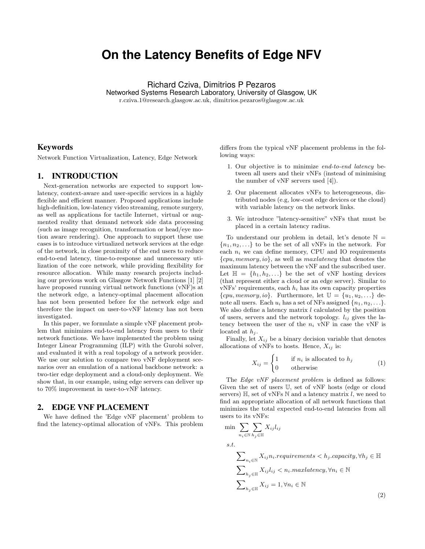# **On the Latency Benefits of Edge NFV**

Richard Cziva, Dimitrios P Pezaros Networked Systems Research Laboratory, University of Glasgow, UK r.cziva.1@research.glasgow.ac.uk, dimitrios.pezaros@glasgow.ac.uk

## Keywords

Network Function Virtualization, Latency, Edge Network

# 1. INTRODUCTION

Next-generation networks are expected to support lowlatency, context-aware and user-specific services in a highly flexible and efficient manner. Proposed applications include high-definition, low-latency video streaming, remote surgery, as well as applications for tactile Internet, virtual or augmented reality that demand network side data processing (such as image recognition, transformation or head/eye motion aware rendering). One approach to support these use cases is to introduce virtualized network services at the edge of the network, in close proximity of the end users to reduce end-to-end latency, time-to-response and unnecessary utilization of the core network, while providing flexibility for resource allocation. While many research projects including our previous work on Glasgow Network Functions [1] [2] have proposed running virtual network functions (vNF)s at the network edge, a latency-optimal placement allocation has not been presented before for the network edge and therefore the impact on user-to-vNF latency has not been investigated.

In this paper, we formulate a simple vNF placement problem that minimizes end-to-end latency from users to their network functions. We have implemented the problem using Integer Linear Programming (ILP) with the Gurobi solver, and evaluated it with a real topology of a network provider. We use our solution to compare two vNF deployment scenarios over an emulation of a national backbone network: a two-tier edge deployment and a cloud-only deployment. We show that, in our example, using edge servers can deliver up to 70% improvement in user-to-vNF latency.

#### 2. EDGE VNF PLACEMENT

We have defined the 'Edge vNF placement' problem to find the latency-optimal allocation of vNFs. This problem differs from the typical vNF placement problems in the following ways:

- 1. Our objective is to minimize end-to-end latency between all users and their vNFs (instead of minimising the number of vNF servers used [4]).
- 2. Our placement allocates vNFs to heterogeneous, distributed nodes (e.g, low-cost edge devices or the cloud) with variable latency on the network links.
- 3. We introduce "latency-sensitive" vNFs that must be placed in a certain latency radius.

To understand our problem in detail, let's denote  $\mathbb{N} =$  ${n_1, n_2, \ldots}$  to be the set of all vNFs in the network. For each  $n_i$  we can define memory, CPU and IO requirements  ${cpu, memory, io}$ , as well as *maxlatency* that denotes the maximum latency between the vNF and the subscribed user. Let  $\mathbb{H} = \{h_1, h_2, \ldots\}$  be the set of vNF hosting devices (that represent either a cloud or an edge server). Similar to  $vNFs'$  requirements, each  $h_i$  has its own capacity properties  $\{cpu, memory, io\}$ . Furthermore, let  $\mathbb{U} = \{u_1, u_2, ...\}$  denote all users. Each  $u_i$  has a set of NFs assigned  $\{n_1, n_2, \ldots\}$ . We also define a latency matrix  $l$  calculated by the position of users, servers and the network topology.  $l_{ij}$  gives the latency between the user of the  $n_i$  vNF in case the vNF is located at  $h_j$ .

Finally, let  $X_{ij}$  be a binary decision variable that denotes allocations of vNFs to hosts. Hence,  $X_{ij}$  is:

$$
X_{ij} = \begin{cases} 1 & \text{if } n_i \text{ is allocated to } h_j \\ 0 & \text{otherwise} \end{cases}
$$
 (1)

The *Edge vNF placement problem* is defined as follows: Given the set of users U, set of vNF hosts (edge or cloud servers)  $\mathbb{H}$ , set of vNFs  $\mathbb N$  and a latency matrix l, we need to find an appropriate allocation of all network functions that minimizes the total expected end-to-end latencies from all users to its vNFs:

$$
\min \sum_{n_i \in \mathbb{N}} \sum_{h_j \in \mathbb{H}} X_{ij} l_{ij}
$$
\n*s.t.*\n
$$
\sum_{n_i \in \mathbb{N}} X_{ij} n_i \text{.requirements} < h_j.\text{capacity}, \forall h_j \in \mathbb{H}
$$
\n
$$
\sum_{h_j \in \mathbb{H}} X_{ij} l_{ij} < n_i.\text{maxlatency}, \forall n_i \in \mathbb{N}
$$
\n
$$
\sum_{h_j \in \mathbb{H}} X_{ij} = 1, \forall n_i \in \mathbb{N}
$$
\n(2)